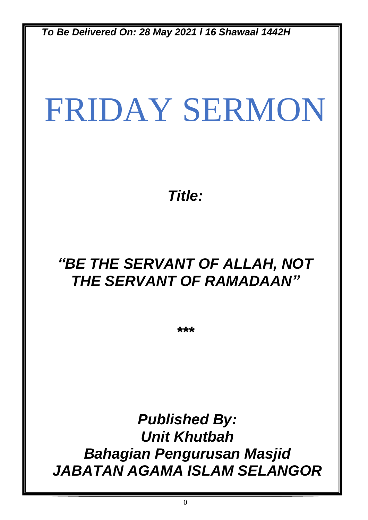*To Be Delivered On: 28 May 2021 l 16 Shawaal 1442H*

# FRIDAY SERMON

*Title:*

# *"BE THE SERVANT OF ALLAH, NOT THE SERVANT OF RAMADAAN"*

*\*\*\**

*Published By: Unit Khutbah Bahagian Pengurusan Masjid JABATAN AGAMA ISLAM SELANGOR*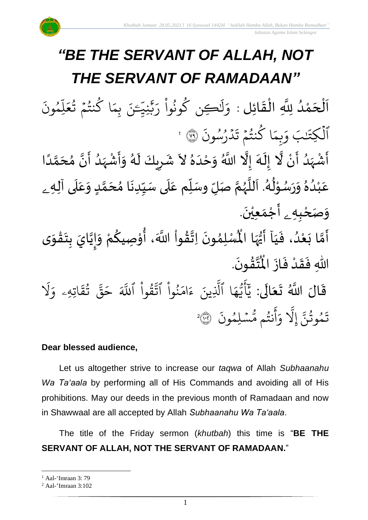$\overline{\phantom{a}}$ 

 $\tilde{\mathbf{z}}$ 

.<br>م

#### *"BE THE SERVANT OF ALLAH, NOT THE SERVANT OF RAMADAAN"* .<br>با لة<br>ا اَلْحَمْدُ لِلَّهِ الْقَائِلِ : وَلَٰكِن كُونُواْ رَبَّنِيَّـَ و<br>و ْ<br>م  $\overline{\phantom{a}}$ ֦֧֦֧֦֧֦֧֦֧֦֧֦֧֧֜֜֜֜֓֓֟֓֟֓֜֜֜֜֜֜֜<br>**֡**  $\frac{1}{2}$ ֦֧֦֧֦֧֦֧֦֧֦֜֜֜֜֜֜֜<br>֧֝֜֜ بة<br>ب ِرِ ڪِن کونُوا رَ **ٔ** ُو و<br>م َٰ ِ<br>ا ل ِ<br>م وَلَنْكِن كُونُوا رَبّْنِيَّـَ  $\ddot{\cdot}$ ون ِم و<br>م ں<br>ا ل  $\frac{1}{2}$ ا كَنْتُمْ تُعَ و<br>په  $\frac{1}{2}$ و<br>به و  $\frac{1}{2}$ ِم ب نَ ٱلۡكِتَنبَ لكِتَن ہ<br>ا  $\ddot{\cdot}$ د <sup>وو</sup>رسون ُو و<br>ا ہ<br>ا  $\ddot{\cdot}$ ا كَنتُمْ تَ  $\frac{1}{2}$ و<br>په و<br>م  $\frac{1}{2}$ وَبِمَا كُنتُمْ تَدْرُسُونَ ۞ 1 سنة<br>المجموع أَشْهَدُ أَنْ لَّا إِلَهَ إِلَّا اللَّهُ وَحْدَهُ لاَ شَرِيكَ لَهُ وَأَشْ ْ ۰<br>پن ،<br>ا َ<br>زار<br>ر ْ ر<br>آم  $\tilde{\mathbf{r}}$  $\frac{1}{2}$ ا<br>ا ْ  $\sum_{i=1}^{n}$  $\tilde{\cdot}$ ر<br>گ َ ر  $\ddot{\phantom{0}}$  $\ddot{\phantom{0}}$ ๋<br>፝ ِ<br>ا  $\tilde{\cdot}$ -<br>ن<br>ا ًاللَّهُ وَحْدَهُ لاَ شَرِيكَ لَهُ وَأَشْهَدُ أَنَّ مُحَمَّدًا ل<br>ا )<br>ጎ اتا<br>م  $\sum_{i=1}^{n}$ ُ<br>ُ' َ<br>زار<br>ا عَبْدُهُ وَرَسُوْلُهُ. اَللَّهُمَّ صَلِّ وسَلِّم عَلَى سَيِّدِنَا مُحَمَّدٍ وَعَلَى آلِه<sub>ِ ــ</sub>  $\overline{\mathbf{1}}$  $\frac{1}{\sqrt{2}}$  $\tilde{\cdot}$ <u>لم</u> ل<br>م ๋<br>ጎ  $\ddot{\phantom{0}}$  $\frac{1}{1}$  $\overline{\mathbf{1}}$  $\frac{1}{\sqrt{2}}$ ĭ ت<br>ج و<br>ر<br>ر سنة<br>ا ً<br>آ بر<br>ر<br>ا و<br>ا י<br>י ر<br>در  $\overline{\phantom{a}}$  $\tilde{\cdot}$  $\frac{2}{\lambda}$ و<br>ا ំ<br>រ وَصَحْبِهِ \_ أَجْمَعِيْنَ. ْ  $\ddot{\phantom{0}}$ ់<br>(  $\tilde{\mathbf{a}}$  $\sum_{i=1}^{n}$ -<br>أَمَّا بَعْدُ، فَيَا أَيُّهَا الْمُسْلِمُونَ َ  $\ddot{\cdot}$ َ<br>و ْ  $\tilde{\cdot}$  $\ddot{\phantom{0}}$ ›<br>ለ ِ<br>پر<br>پر  $\boldsymbol{\hat{z}}$  $\sum_{i=1}^{n}$  $\ddot{\phantom{0}}$ ֦֧֦֧֦֧֦֧֦֧֦֧֦֧֦֧֦֧֦֧֦֧֦֧֦֧֝<br>**֧**֧֓֘  $\frac{1}{2}$ ان<br>ا  $\tilde{\cdot}$ ر<br>م י<br>י ُ<br>مُ ֦֧֦֧֦֧֦֧֦֧֦֧֦֧֦֧֦֧֦֧֦֧֦֧֦֧֦֧<br>**֧**  $\frac{9}{4}$ ا<br>با<br>:

لة<br>م َ أَيُّهَا الْمُسْلِمُونَ اِتَّقُواْ اللَّهَ، أُوْصِيكُمْ وَإِيَّايَ بِتَقْوَى  $\frac{3}{2}$ |<br>=<br>=  $\ddot{\cdot}$ اللّهِ فَقَدْ فَازَ الْمُتَّقُونَ  $\ddot{\cdot}$ **ّ**  $\frac{1}{2}$  $\ddot{\cdot}$ .  $\ddot{\phantom{0}}$ **ہیں** ا<br>اب ہ<br>ا اْل قَالَ اللَّهُ تَعَالَى: ً<br>ا  $\tilde{\cdot}$  $\frac{1}{2}$  $\ddot{\mathbf{r}}$ َ َل ِرِ اتِهِۦ و  $\ddot{\phantom{0}}$ ق ت و<br>په لية<br>\*\* قی  $\tilde{\phantom{0}}$ ح ہے<br>آ کے قُوا اللَّهَ ْ ور بر<br>مو نُوا اڌّ ْ ُو<br>په  $\frac{1}{2}$ ام  $\tilde{\epsilon}$ ء ِينَ بة<br>ا ا الَّذِ ِ<br>م ه و<br>د سَ<br>ڊ ۔<br>ج  $\overline{\mathcal{L}}$ َہِ<br>د بد .<br>` سْلِمُونَ و<br>م  $\ddot{\phantom{0}}$ و<br>مم نتُم مَّ و<br>په ِ<br>ج أ  $\frac{1}{c}$ و بة<br>1 َِل إ ىر<br>م تَمُوثُنَّ إِلَّا وَأَنتُم مُّسۡلِمُونَ ۞ و<br>په و<br>م 2

#### **Dear blessed audience,**

Let us altogether strive to increase our *taqwa* of Allah *Subhaanahu Wa Ta'aala* by performing all of His Commands and avoiding all of His prohibitions. May our deeds in the previous month of Ramadaan and now in Shawwaal are all accepted by Allah *Subhaanahu Wa Ta'aala*.

The title of the Friday sermon (*khutbah*) this time is "**BE THE SERVANT OF ALLAH, NOT THE SERVANT OF RAMADAAN.**"

 $<sup>1</sup>$  Aal-'Imraan 3: 79</sup>

<sup>2</sup> Aal-'Imraan 3:102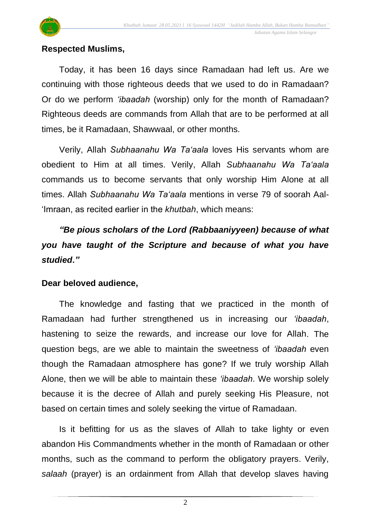

#### **Respected Muslims,**

Today, it has been 16 days since Ramadaan had left us. Are we continuing with those righteous deeds that we used to do in Ramadaan? Or do we perform *'ibaadah* (worship) only for the month of Ramadaan? Righteous deeds are commands from Allah that are to be performed at all times, be it Ramadaan, Shawwaal, or other months.

Verily, Allah *Subhaanahu Wa Ta'aala* loves His servants whom are obedient to Him at all times. Verily, Allah *Subhaanahu Wa Ta'aala* commands us to become servants that only worship Him Alone at all times. Allah *Subhaanahu Wa Ta'aala* mentions in verse 79 of soorah Aal- 'Imraan, as recited earlier in the *khutbah*, which means:

*"Be pious scholars of the Lord (Rabbaaniyyeen) because of what you have taught of the Scripture and because of what you have studied."*

## **Dear beloved audience,**

The knowledge and fasting that we practiced in the month of Ramadaan had further strengthened us in increasing our *'ibaadah*, hastening to seize the rewards, and increase our love for Allah. The question begs, are we able to maintain the sweetness of *'ibaadah* even though the Ramadaan atmosphere has gone? If we truly worship Allah Alone, then we will be able to maintain these *'ibaadah*. We worship solely because it is the decree of Allah and purely seeking His Pleasure, not based on certain times and solely seeking the virtue of Ramadaan.

Is it befitting for us as the slaves of Allah to take lighty or even abandon His Commandments whether in the month of Ramadaan or other months, such as the command to perform the obligatory prayers. Verily, *salaah* (prayer) is an ordainment from Allah that develop slaves having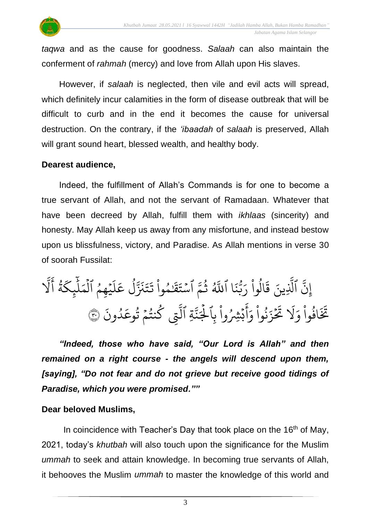

*taqwa* and as the cause for goodness. *Salaah* can also maintain the conferment of *rahmah* (mercy) and love from Allah upon His slaves.

However, if *salaah* is neglected, then vile and evil acts will spread, which definitely incur calamities in the form of disease outbreak that will be difficult to curb and in the end it becomes the cause for universal destruction. On the contrary, if the *'ibaadah* of *salaah* is preserved, Allah will grant sound heart, blessed wealth, and healthy body.

#### **Dearest audience,**

Indeed, the fulfillment of Allah's Commands is for one to become a true servant of Allah, and not the servant of Ramadaan. Whatever that have been decreed by Allah, fulfill them with *ikhlaas* (sincerity) and honesty. May Allah keep us away from any misfortune, and instead bestow upon us blissfulness, victory, and Paradise. As Allah mentions in verse 30 of soorah Fussilat:

لبة<br>• نَّ ٱلَّذِينَ إ بہ<br>1 لَّذِينَ قَالُوا رَبَّنَا  $\ddot{\cdot}$ ن و<br>د بة<br>ب ِ<br>پ الوا رَ ْ مِيسِ<br>ا  $\frac{1}{\sqrt{2}}$  $\ddot{\phantom{0}}$ قَالُوا رَبَّنَا آ پر<br>آلھ ءَ<br>م س<br>م للَّهُ ثُمَّ اسْتَقَنْمُوا و<br>په ْ و َٰ  $\ddot{\phantom{0}}$ قذ  $\ddot{\phantom{0}}$ سْتَقَنْمُوا تَتَنَزَّلْ عَلَيْهِمُ  $\ddot{\phantom{0}}$ و<br>م ؚ<br>ۣ ر<br>آ  $\uparrow$ ِ<br>م ع ل و<br>ا بر<br>مذ برته<br>مز  $\ddot{\phantom{0}}$ ت  $\ddot{\cdot}$ تَتَنَزَّلُ عَلَيْهِمُ الْمَلْبِكَةُ و<br>ڏ ر<br>م چکے<br>غ بر<br>آ  $\uplambda$  $\frac{1}{2}$ لْمَلْيِكَةُ ہ<br>1 ب<br>1 َل ِ<br>ج أ ِ ب وا ِِشُ **ٔ**  $\ddot{\phantom{0}}$ ڊ ۔<br>ج أ  $\frac{1}{c}$ نُوا وَ ْ مُ ُو<br>په  $\ddot{\cdot}$ ز  $\frac{1}{2}$  $\tilde{\mathbf{z}}$ نخ<br>حک ر<br>1 َل  $\frac{1}{2}$ افَوا وَ ْ و<br>و بر<br>تر تَخَافُوا وَلَا تَحْزَنُوا وَأَبْشِرُوا بِالْجَنَّةِ ب<br>به نة<br>م ِ<br>د ر<br>د لْجَنَّةِ التِي بة<br>1 ل  $\ddot{\cdot}$ ون د و<br>ا ِ<br>م كَنْتُمْ تُوعَدُونَ ۞ و<br>په  $\frac{1}{2}$ و<br>په و

*"Indeed, those who have said, "Our Lord is Allah" and then remained on a right course - the angels will descend upon them, [saying], "Do not fear and do not grieve but receive good tidings of Paradise, which you were promised.""*

## **Dear beloved Muslims,**

In coincidence with Teacher's Day that took place on the 16<sup>th</sup> of May, 2021, today's *khutbah* will also touch upon the significance for the Muslim *ummah* to seek and attain knowledge. In becoming true servants of Allah, it behooves the Muslim *ummah* to master the knowledge of this world and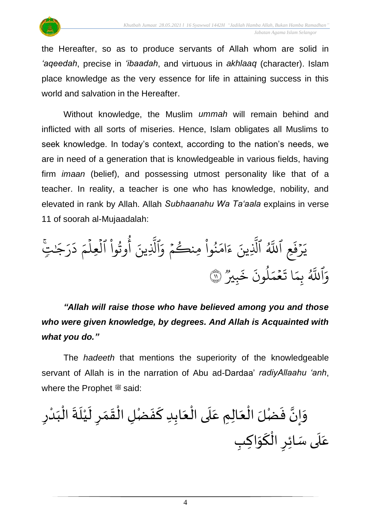the Hereafter, so as to produce servants of Allah whom are solid in *'aqeedah*, precise in *'ibaadah*, and virtuous in *akhlaaq* (character). Islam

place knowledge as the very essence for life in attaining success in this world and salvation in the Hereafter.

Without knowledge, the Muslim *ummah* will remain behind and inflicted with all sorts of miseries. Hence, Islam obligates all Muslims to seek knowledge. In today's context, according to the nation's needs, we are in need of a generation that is knowledgeable in various fields, having firm *imaan* (belief), and possessing utmost personality like that of a teacher. In reality, a teacher is one who has knowledge, nobility, and elevated in rank by Allah. Allah *Subhaanahu Wa Ta'aala* explains in verse 11 of soorah al-Mujaadalah:

ِع  $\ddot{\cdot}$ رُفَ ا<br>أ ِ<br>د يَرْفَعِ ا پر<br>لالھ ن  $\ddot{\cdot}$ َللَّٰہُ الَّذِيہ بة<br>ا لَّذِينَ .<br>م نُوا مِنكُمْ وَ  $\frac{1}{2}$ و <u>ہ</u> ُ  $\frac{1}{2}$ ام  $\tilde{\epsilon}$ ءَامَنُواْ مِنكُمْ وَٱلَّذِينَ بر<br>۱ لَّذِينَ أُوْثُوا ا <u>ہ</u> و<br>په و<br>م  $\frac{1}{2}$ لُعِلْمَ دَرَجَىٰتِيَّ ہ<br>1 ہ<br>1 َٰ ر  $\tilde{\cdot}$ د ر<br>م وٱ ہے<br>لالھ َّلل وو<br>. وو<br>بِريز  $\tilde{\cdot}$ خ  $\ddot{\cdot}$ لمونَ و<br>ا  $\frac{1}{2}$ ح<br>مم  $\frac{1}{2}$ ا<br>به ا ت  $\frac{1}{2}$ بِمَا تَعْمَلُونَ خَبِيرٌ ۞

*"Allah will raise those who have believed among you and those who were given knowledge, by degrees. And Allah is Acquainted with what you do."*

The *hadeeth* that mentions the superiority of the knowledgeable servant of Allah is in the narration of Abu ad-Dardaa' *radiyAllaahu 'anh*, where the Prophet  $\ddot{\mathcal{F}}$  said:

َ و َ ف ا إن ضْ ْ ال لَ َ ل عا َ م ع َ ل ْ ىال َ ع اب َ د ك َ ف ضْ ْ ل ال َ ق َ م َ ل ر ْ ي َ ل ْ ال َ ة َ ب ْ د ر َ ع َ ل َ ئ ى سا ر ْ ال َ ك َ ك ب وا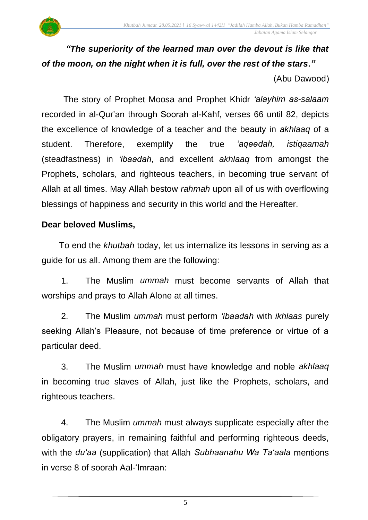

## *"The superiority of the learned man over the devout is like that of the moon, on the night when it is full, over the rest of the stars."*

(Abu Dawood)

The story of Prophet Moosa and Prophet Khidr *'alayhim as-salaam* recorded in al-Qur'an through Soorah al-Kahf, verses 66 until 82, depicts the excellence of knowledge of a teacher and the beauty in *akhlaaq* of a student. Therefore, exemplify the true *'aqeedah, istiqaamah* (steadfastness) in *'ibaadah*, and excellent *akhlaaq* from amongst the Prophets, scholars, and righteous teachers, in becoming true servant of Allah at all times. May Allah bestow *rahmah* upon all of us with overflowing blessings of happiness and security in this world and the Hereafter.

## **Dear beloved Muslims,**

To end the *khutbah* today, let us internalize its lessons in serving as a guide for us all. Among them are the following:

1. The Muslim *ummah* must become servants of Allah that worships and prays to Allah Alone at all times.

2. The Muslim *ummah* must perform *'ibaadah* with *ikhlaas* purely seeking Allah's Pleasure, not because of time preference or virtue of a particular deed.

3. The Muslim *ummah* must have knowledge and noble *akhlaaq* in becoming true slaves of Allah, just like the Prophets, scholars, and righteous teachers.

4. The Muslim *ummah* must always supplicate especially after the obligatory prayers, in remaining faithful and performing righteous deeds, with the *du'aa* (supplication) that Allah *Subhaanahu Wa Ta'aala* mentions in verse 8 of soorah Aal-'Imraan:

5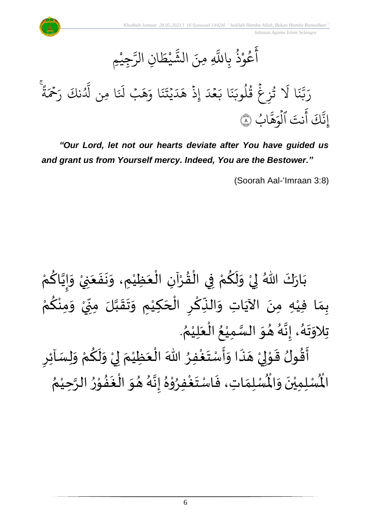#### $\ddot{\bullet}$ يہ<br>ا عُوْذُ بِاللَّهِ و<br>په **ٔ** و<br>م ِ<br>ج آَعُوْذَ بِاللَّهِ مِنَ الشَّيْطَانِ الرَّجِيْمِ **ٔ** بر<br>س ِن الر ا  $\tilde{\xi}$ ط ي **ٔ** لند<br>شه مِنَ الشَّ

ا  $\ddot{\cdot}$ ند<br>ند لہ<br>د بة<br>ب ِ<br>ا رَبَّنَا لَا تُزِغُ قُلُوبَنَا بَعْدَ إِذَ هَدَيْتَنَا وَهَبْ لَنَا مِنِ لَدُنْكَ رَحْمَةً  $\ddot{\tilde{z}}$ ة  $\hat{\tilde{\mathbf{z}}}$ ِ<br>حَمَ ِ<br>پ ۔<br>لَّدُنكَ رَ ُ ا ِمن َّل ر<br>أ -َل بۡ َ ه ِ<br>ہ ا و  $\ddot{\cdot}$ ن  $\ddot{\cdot}$ دَ<br>يذ  $\ddot{\phantom{0}}$ ِ<br>ا د  $\tilde{\lambda}$ ه ِذ  $\ddot{\cdot}$ إ ر<br>آ مُدَ  $\frac{1}{2}$ ِ<br>ا ا ب  $\ddot{\cdot}$ ن ِ<br>د تُزِغ قَلوبَ و<br>ا ور  $\ddot{\cdot}$ ور ر<br>1 َل نتَ ا<br>ج أ سَ<br>نَكَ نَّكَ آنتَ الوَهَّابُ إ <u>و</u> ن<br>ح ه  $\frac{1}{2}$ لُوَهَّابُ ۞ ہ<br>1

*"Our Lord, let not our hearts deviate after You have guided us and grant us from Yourself mercy. Indeed, You are the Bestower."*

(Soorah Aal-'Imraan 3:8)

ْ بَارَكَ اللّهُ لِيْ وَلَكُمْ فِي الْقُرْآنِ الْعَظِيْمِ، وَنَفَعَنِيْ وَإِيَّاكُمْ  $\frac{1}{2}$  $\ddot{\cdot}$  $\ddot{\phantom{0}}$  $\frac{1}{2}$ ْ  $\frac{1}{2}$ ֦֧֦֧֦֧֦֧֦֟֜֜֜֜֜֜֜֜<br>֧ׅׅ֝֜֜֜֜֜֜֜֜֜֜֝֜֜֝֜<del>֛</del> ْ  $\frac{9}{4}$ ْ ْ <u>ہ</u>  $\tilde{\mathbf{r}}$  $\frac{1}{2}$ ْ  $\frac{1}{2}$  $\ddot{\phantom{0}}$ ْ <u>۽</u> ن<br>• !<br>-<br>- $\frac{1}{2}$ ْ بِمَا فِيْهِ مِنَ الآيَاتِ وَالنِّكْرِ الْحَكِيْمِ وَتَقَبَّلَ مِنِّيْ وَمِنْكُمْ <u>ل</u>و ْ  $\frac{1}{2}$ ْ '<br>י  $\cdot$ ان<br>ا  $\frac{1}{2}$  $\ddot{\phantom{0}}$  $\tilde{\cdot}$ ْ  $\overline{\phantom{a}}$ ْ  $\sum$ ْ  $\ddot{\cdot}$  $\frac{1}{2}$ ِ<br>پُ  $\ddot{\phantom{0}}$ ْ  $\frac{1}{2}$  $\frac{1}{2}$ تِلاوَتَهُ، إِنَّهُ هُوَ السَّمِيْعُ الْعَلِيْمُ.  $\frac{1}{2}$ و<br>گ ن<br>•<br>•  $\frac{1}{2}$ ء<br>لم  $\frac{1}{2}$  $\ddot{\ }$ ़<br>१ ْ  $\frac{1}{2}$ ْ ُ ْ اتا<br>ا  $\sum$ أَقُولُ قَوْلِيْ هَذَا وَأَسْتَغْفِرُ اللّٰهَ الْعَظِيْمَ لِيْ وَلَكُمْ وَلِسَاْئِرِ  $\frac{1}{2}$ ْ <u>ل</u>  $\tilde{\mathbf{r}}$  $\frac{1}{2}$ ْ إ  $\frac{1}{2}$ ֦֧֦֦֧֝<u>֚</u> َ ْ ∫<br>ُ ِ<br>وف  $\ddot{\phantom{0}}$ ।<br>∶∶  $\frac{1}{2}$  $\ddot{\cdot}$  $\overline{a}$ ْ لمح ֦֦֝<br>**֝**  $\frac{1}{2}$ )<br>። —<br>ع<br>ع <sub>ይ</sub> ري<br>لْمُسْلِمَاتِ، فَاسْتَغْفِرُوْهُ إِنَّهُ هُوَ الْغَفُوْرُ الرَّحِيْمُ ំ<br>រ ن<br>م  $\frac{1}{2}$ ֦֧֦֧֦֦֧֦֧֦֧֦֧֦֧֦֧֦֧֦֝֟֓֓֟֓֓֟֓<br>**֧**  $\frac{1}{2}$ **「** .<br>∤  $\ddot{\ }$  $\frac{1}{2}$ ء<br>لم ن<br>•<br>•  $\frac{1}{2}$  $\frac{1}{\lambda}$ י<br>י و<br>د ْ  $\ddot{\phantom{0}}$  $\frac{1}{2}$  $\frac{1}{2}$ ر۔<br>لْمُسْلِمِيْنَ وَالْمُ  $\frac{1}{2}$  $\ddot{\phantom{0}}$ ំ<br>• الْم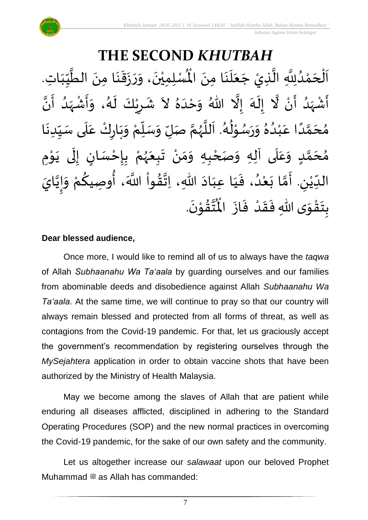**THE SECOND** *KHUTBAH* م ا ن ل ع ج ذيْ ال ّلِل د م ح ل ت ا ا ب ي الط من ا ن ق ز ر ، و ن مي ل سْ ُْ ़<br>; َ<br>ا<br>ا  $\frac{1}{2}$  $\overline{\phantom{a}}$ ن<br>ا انہ<br>ا و<br>و ْ  $\overline{\phantom{a}}$ ْ  $\overline{\phantom{a}}$  $\frac{1}{1}$ しんけい  $\frac{1}{\sqrt{2}}$ ا<br>ا  $\ddot{\phantom{0}}$ :<br>با<br>◆  $\frac{1}{2}$  $\ddot{\cdot}$  $\ddot{\phantom{0}}$  $\frac{1}{2}$  $\ddot{\phantom{0}}$ ْ نَ الْمُسْلِمِيْنَ، وَرَزَقَنَا مِنَ الطَّيِّبَاتِ. —<br>◆<br>◆ ا<br>ا أَشْهَدُ أَنْ لَّا إِلَهَ إِلَّا اللّهُ وَحْدَهُ لاَ شَرِيْكَ لَهُ، وَأَشْهَدُ أَنَّ ំ<br>• ر<br>ج و<br>ا  $\frac{1}{2}$ ْ  $\sum_{i=1}^{n}$ تة<br>ا ر<br>آم  $\tilde{\cdot}$  $\frac{1}{2}$  $\ddot{\phantom{0}}$ بر<br>▲ ِ<br>ا  $\tilde{\cdot}$ ا<br>•<br>• -<br>:<br>: م<br>و  $\frac{1}{2}$ ْ  $\frac{1}{2}$  $\frac{1}{2}$ ر<br>پر  $\tilde{\mathbf{r}}$ ٝ<br>ؙ  $\frac{1}{2}$  $\frac{1}{2}$ مُحَمَّدًا عَبْدُهُ وَرَسُوْلُهُ. اَللَّهُمَّ صَلِّ وَسَلِّمْ وَبَارِكْ عَلَى سَبِّدِنَا  $\ddot{\phantom{0}}$  $\frac{1}{1}$  $\frac{1}{2}$ `<br>أ .<br>م ْ  $\ddot{\phantom{0}}$  $\frac{1}{2}$ ْ  $\frac{1}{\sqrt{2}}$  $\overline{r}$  $\frac{1}{2}$ ن<br>م  $\frac{1}{2}$ ا<br>ا  $\ddot{\phantom{0}}$ و<br>گ  $\frac{1}{2}$ ֦֧֦֦֧֦֝ ٍ<br>م  $\ddot{\phantom{0}}$  $\frac{1}{2}$  $\frac{1}{2}$ و<br>و ْ .<br>م ً<br>ا ت<br>م  $\overline{\phantom{a}}$ ๋<br>ጎ مُحَمَّدٍ وَعَلَى آلِهِ وَصَحْبِهِ وَمَنْ تَبِعَهُمْ بِإِحْسَانٍ إِلَى يَوْمِ <u>ل</u> ت<br>م  $\overline{\phantom{a}}$  $\frac{1}{2}$  $\overline{\mathbf{1}}$ ِ<br>م  $\tilde{\cdot}$ ֦֧<u>֦</u> ֦֧֦֧֦֦֧֦֧֦֧֦֧֦֧֦֧֦֧֦֧֝֟֓֓֟֓֓<br>**֧** ़<br>-<br>•  $\ddot{\phantom{0}}$ ل  $\frac{1}{2}$ <u>ر</u> ֦֧֦֦֧֦֧֝֟֓֓<u>֛</u>  $\ddot{\cdot}$ ْ و<br>ر<br>ر  $\frac{1}{2}$  $\ddot{\phantom{0}}$ ْ  $\frac{1}{2}$ ์ $\frac{1}{2}$ الدِّيْنِ. أَمَّا بَعْدُ، فَيَا عِبَادَ اللّهِ، اِتَّقُواْ اللَّهَ، أُوصِيكُمْ وَإِيَّايَ ان<br>ا !<br>-<br>- $\frac{1}{2}$ ِ<br>ْمُ ِ<br>م ِ<br>مو ٔ<br>ا ُ<br>مو ن<br>\*  $\sim$  $\frac{1}{1}$  $\frac{1}{1}$  $\frac{1}{2}$ و<br>ا ْ  $\ddot{\phantom{0}}$ لة<br>م  $\frac{1}{2}$  $\sum$ ٝ<br>ٔ  $\frac{1}{\sqrt{2}}$ .  $\ddot{\phantom{0}}$ تقوْنَ י<br>י  $\frac{9}{4}$ ا<br>استد ُ<br>مو بِتَقْوَى اللّهِ فَقَدْ فَازَ الْمُ  $\ddot{\phantom{0}}$  $\frac{1}{2}$ ْ  $\frac{1}{2}$  $\frac{1}{2}$  $\frac{1}{2}$ ّ<br>مو  $\ddot{\ }$ <u>د</u><br>:

#### **Dear blessed audience,**

Once more, I would like to remind all of us to always have the *taqwa* of Allah *Subhaanahu Wa Ta'aala* by guarding ourselves and our families from abominable deeds and disobedience against Allah *Subhaanahu Wa Ta'aala*. At the same time, we will continue to pray so that our country will always remain blessed and protected from all forms of threat, as well as contagions from the Covid-19 pandemic. For that, let us graciously accept the government's recommendation by registering ourselves through the *MySejahtera* application in order to obtain vaccine shots that have been authorized by the Ministry of Health Malaysia.

May we become among the slaves of Allah that are patient while enduring all diseases afflicted, disciplined in adhering to the Standard Operating Procedures (SOP) and the new normal practices in overcoming the Covid-19 pandemic, for the sake of our own safety and the community.

Let us altogether increase our *salawaat* upon our beloved Prophet Muhammad  $\ddot{\text{m}}$  as Allah has commanded:

7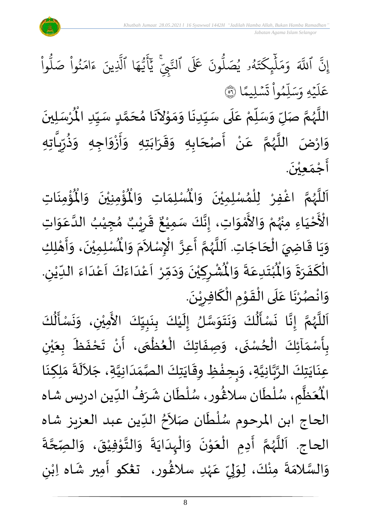

ؙۏ۠ۄٮؘؘٵتؚ  $\ddot{\phantom{0}}$ ់<br>្ ُْ ُؤْمِنِيْنَ ۖ وَالْمُ  $\frac{1}{2}$  $\ddot{\phantom{0}}$ ْ ់<br>: ہ<br>ا ِ<br>لْمُسْلِمَاتِ وَالْمُ  $\frac{1}{2}$  $\frac{1}{2}$ اَللَّهُمَّ اغْفِرْ لِلْمُسْلِمِيْنَ وَالْمُسْلِمَاتِ وَالْمُؤْمِنِيْنَ وَالْمُؤْمِنَاتِ  $\frac{1}{2}$  $\ddot{\phantom{0}}$ ْ ,<br>ለ ْ ِ<br>د ن<br>م ر<br>ر<br>ر ا<br>آ َ َ ْ الْأَحْيَاءِ مِنْهُمْ وَالأَمْوَاتِ، إِنَّكَ سَمِيْعٌ قَرِيْبٌ مُجِيْ َ ْ ំ<br>្ ُ<br>در ْ  $\frac{1}{2}$ י<br>י ں<br>ج  $\frac{1}{2}$ ْ ,<br>ጎ ه<br>**د ا** ي ر ق  $\sum$  $\ddot{\ddot{\cdot}}$ ٌ ، إِنَّكَ سَمِيْعٌ قَرِيْبٌ مُجِيْبُ الدَّعَوَاتِ ់<br>រ ا<br>با  $\frac{1}{2}$ ِ<br>م ان<br>ا ُ وَيَا قَاضِيَ الْحَاجَاتِ. اَللَّهُمَّ أَعِزَّ الْإِسْلاَمَ وَ  $\overline{\phantom{a}}$ ֦֧֦֧֦֧֦֧֦֧֦֧֦֧֦֧<br>**֡**  $\frac{1}{2}$ ֦֧֦֝֝<br>֧֦֧֦֦֝֝֝֝֝֝֝֝֜֝֜֝֝֝֝֝֝<br>֧֝֝֬֝֝֬֝֬֝֬֝֟֬֝֬֝֟֝֬֝֬֝֟֝֬֝֬֝֟֝  $\ddot{\phantom{0}}$  $\frac{1}{2}$ ۔<br>آ ا<br>آ ر<br>ر<br>ر لة<br>م —<br>:<br>: بانه ۔<br>ا  $\tilde{\phantom{a}}$ .<br>د  $\frac{1}{2}$  $\ddot{\hat{}}$ الْمُسْلِمِيْنَ، وَأَهْلِكِ ۔<br>,<br>, ْ ه<br>به  $\ddot{\phantom{0}}$  $\overline{1}$ י<br>י  $\frac{1}{2}$  $\tilde{\cdot}$ . لي ُشْرِكِيْنَ وَدَمِّرْ أَعْدَاءَكَ أَعْدَاءَ اللدِّيْنِ ٝ<br>ؙ  $\frac{1}{1}$  $\ddot{\phantom{0}}$ ا<br>ا .<br>م  $\frac{1}{2}$ َ<br>و  $\frac{1}{2}$ ا<br>-<br>ا ْ  $\overline{\phantom{a}}$ ّ<br>ْ  $\frac{1}{\lambda}$  $\sim$  $\tilde{\phantom{a}}$  $\ddot{\phantom{0}}$ ់<br>**រ**  $\overline{\phantom{a}}$ ْ  $\ddot{\hat{}}$ ُبْتَدِعَةً وَالْمُ  $\frac{1}{2}$  $\frac{1}{2}$ .<br>م  $\ddot{\ }$ ْ  $\ddot{\text{h}}$ الْكَفَرَةَ وَالْمُ  $\frac{1}{2}$  $\ddot{\phantom{0}}$  $\frac{1}{2}$  $\ddot{\cdot}$ ์<br>-<br>-بر<br>ا .  $\ddot{\phantom{0}}$ وَانْصُرْنَا عَلَى الْقَوْمِ الْكَافِرِيْنَ ٝ<br>ٔ ر ์<br>-<br>-ِّ<br>ا  $\ddot{\phantom{0}}$ ֦֝<br>֝**֝**  $\frac{1}{2}$ ِّ<br>ا  $\overline{\phantom{a}}$ .<br>م  $\ddot{\phantom{0}}$ ْ و<br>د ْ  $\frac{1}{2}$ 

 $\frac{1}{2}$ -<br>اَللَّهُمَّ إِنَّا نَسْأَلُكَ وَنَتَوَسَّلُ إِلَيْكَ بِنَبِيِّكَ الأَمِيْنِ، وَنَسْأَلُكَ ن<br>م ر<br>ر<br>ر ا<br>ا ँ<br>।  $\frac{1}{1}$  $\frac{1}{2}$ <u>لم</u><br>:  $\ddot{\phantom{0}}$ <u>ر</u><br>-ំ<br>រ َ  $\frac{1}{2}$ ان<br>سا  $\frac{1}{2}$  $\ddot{\phantom{0}}$  $\ddot{\phantom{0}}$  $\frac{1}{2}$ ُمُ<br>اُ  $\frac{1}{2}$  $\ddot{\cdot}$ لة<br>•  $\tilde{\epsilon}$ ُ<br>الم<br>ا  $\ddot{\cdot}$  $\ddot{\phantom{0}}$  $\ddot{\ }$ ْ  $\ddot{\phantom{0}}$ بِأَسْمَآئِكَ الْحُسْنَى، وَصِفَاتِكَ الْعُظُمَى، أَنْ تَحْفَظَ بِعَيْنِ و<br>ا ֦֧֦֧֦֧<br>֘  $\frac{1}{\sqrt{2}}$  $\frac{1}{2}$ <u>د</u><br>: ์<br>-<br>ก ֦֧֦֧֦֧֦֧֦֧֦֧֦֧֦֧֦֧֦֧֦֧֦֧֦֧<br>**֧** }<br>• ֦֧֦֧֦֧֦֧֦֧֦֧֦֟֓<br>֧ׅ֦֛ׅ֦֛֝֜֜֜֜֜֜֜֜֜֜֜֜֜֜֜֜֜֜֜  $\ddot{\bullet}$  $\frac{1}{2}$ ْ ي َ  $\frac{1}{\sqrt{2}}$  $\ddot{\cdot}$ ∶<br>→<br>◆ ْ  $\ddot{\cdot}$ ِ<br>عِنَايَتِكَ الرَّبَّانِيَّةِ، وَبِحِفْظِ وِقَايَتِكَ الصَّمَدَانِيَّةِ، جَلاَلَةَ مَلِكِنَا ا<br>ا ن<br>م<br>۱ ا<br>په  $\ddot{\phantom{0}}$  $\ddot{\phantom{0}}$  $\sim$ ات<br>ا  $\frac{1}{1}$  $\frac{1}{2}$ اتا<br>در  $\ddot{\phantom{0}}$ ر<br>پود ້<br>: ر<br>م  $\frac{1}{2}$  $\ddot{\cdot}$ ِ<br>آباد  $\ddot{\phantom{0}}$  $\frac{1}{2}$ ُع<sup>َ</sup>ظٌمِ ر<br>آبا َ ر<br>مو الْمُعَظَّمِ، سُلْطَان سلَاغُور، سُلْطَان شَرَفُ الدِّين ادريس شاه ر<br>م ة<br>أ )<br>፟<br>፟  $\frac{1}{1}$ ُ  $\frac{1}{2}$ م<br>م ់<br>វ ر<br>رہ  $\sim$ الحاج ابن المرحوم سُلْطَان صَلاَحُ الدِّين عبد العزيز شاه ۔<br>ا ا<br>ا ر<br>را  $\frac{1}{2}$ ُ  $\ddot{\cdot}$ الحاج. اَللَّهُمَّ أَدِمِ الْعَوْنَ وَالْبِدَايَةَ وَالتَّوْفِيْقَ، وَالصِّحَّةَ ان<br>م  $\frac{1}{2}$  $\ddot{\phantom{0}}$ ْ י<br>י الله  $\frac{1}{2}$  $\ddot{\phantom{0}}$  $\ddot{\phantom{0}}$ ا<br>ا ֫<br>֟֟֟**֝**  $\frac{1}{2}$  $\ddot{\phantom{0}}$ ֦֦֝֝<br>֧֝֝֝**֟** َ ֦֧֦֧֦֧֦֧֦֧֦֧֦֟֓<br>֧ׅ֦ׅ֦֛֝֜֜֜֜֜֜֜֜֜֜֜֜֜֜֘֜֜֜  $\ddot{\phantom{0}}$  $\tilde{\epsilon}$ ن<br>م ر<br>ر<br>ر ا<br>آ .<br>آ ى<br>وَالسَّلامَةَ مِنْكَ، لِوَلِيِّ عَہْدِ سلاڠُور، تڠكو أَمِير شَاه اِبْنِ ٝ<br>ْ ِ<br>م ม<br>"  $\frac{1}{2}$ لمح ້ $\frac{1}{2}$ ْ  $\ddot{ }$  $\frac{1}{2}$ ا<br>ما  $\frac{1}{2}$ )<br>ፌ  $\frac{1}{2}$ َ ٝ<br>ؙ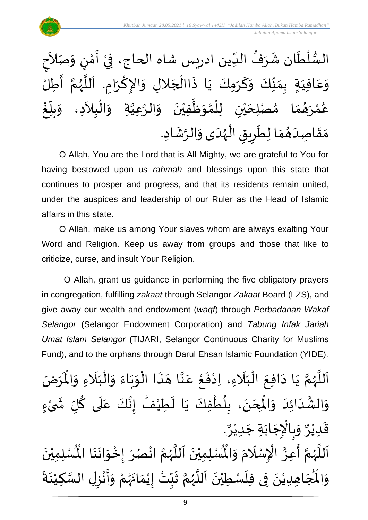

O Allah, You are the Lord that is All Mighty, we are grateful to You for having bestowed upon us *rahmah* and blessings upon this state that continues to prosper and progress, and that its residents remain united, under the auspices and leadership of our Ruler as the Head of Islamic affairs in this state.

O Allah, make us among Your slaves whom are always exalting Your Word and Religion. Keep us away from groups and those that like to criticize, curse, and insult Your Religion.

O Allah, grant us guidance in performing the five obligatory prayers in congregation, fulfilling *zakaat* through Selangor *Zakaat* Board (LZS), and give away our wealth and endowment (*waqf*) through *Perbadanan Wakaf Selangor* (Selangor Endowment Corporation) and *Tabung Infak Jariah Umat Islam Selangor* (TIJARI, Selangor Continuous Charity for Muslims Fund), and to the orphans through Darul Ehsan Islamic Foundation (YIDE).

ن<br>م اَللَّهُمَّ يَا دَافِعَ الْبَلَاءِ، اِدْفَعْ عَنَّا هَذَا الْوَبَاءَ وَالْبَلَاءِ وَالْمَرَ و<br>ر<br>ر ا<br>آ  $\mathbf{r}$  $\hat{\mathbf{r}}$ يَا دَافِعَ الْبَلَاءِ، اِدْفَعْ عَنَّا هَذَا الْوَبَاءَ وَالْبَلَاءِ وَالْمَرَضَ  $\frac{1}{2}$ َ<br>ا  $\frac{1}{1}$ ֦֧֦֧֦֧֝<u>֦</u>  $\frac{1}{2}$  $\frac{1}{2}$  $\ddot{\phantom{0}}$  $\frac{1}{2}$ ֦֧֦֧֦֧֦֧֦֧֦֧֦֦֧֦֜֜֜֓֓֟֟֓<br>֧ׅ֦֛֛֛֝֜֜֜֜֜֜֜֜֜֜֜֜֜֜֜  $\ddot{\cdot}$  $\overline{\phantom{a}}$ ان<br>ا ِ<br>م ֦֧<u>֦</u>  $\ddot{\cdot}$ ֦֧<sup>֦</sup> َ<br>ا َ ْ  $\ddot{\phantom{0}}$  $\sim$  $\ddot{\phantom{0}}$ ى<br>وَالْشَّدَائِدَ وَالْمِحَنَ، بِلُطْفِكَ يَا لَطِيْفُ إِنَّكَ عَلَى كُلِّ شَىْءٍ **∶** ْ ์ $\tilde{\cdot}$ ُ े $\overline{\phantom{a}}$ ِ<br>م ا<br>تار<br>:  $\frac{1}{2}$ ُ  $\mathbf{r}$  $\ddot{\phantom{0}}$ ֦֧֦֧֦֧֦֧֦֧֦֧֦֧֦֧֦֧֦֧֦֧֦֧֦֧֝֝<br>**֧** ٍ<br>ا <u>د</u><br>:  $\ddot{\phantom{0}}$  $\overline{\phantom{a}}$ )<br>,  $\frac{1}{2}$  $\frac{1}{1}$ َ اند<br>المع  $\frac{1}{2}$ . و<br>م وَبِالْإِجَابَةِ جَدِيْرٌ ْ  $\frac{1}{2}$ ֦֧֦֧֦֧֦֧֦֧֦֧֦֧֦֧֜֜֜֓֓<br>֧֜֜֜֜֜֜֜֜֜֟֓֟ ر<br>م  $\frac{1}{2}$ و<br>م قَدِيْرٌ ْ ا<br>:<br>:  $\ddot{\phantom{0}}$ ِّ<br>لْمُسْلِمِيْنَ ْ ء.. . . . . . . . .<br>اَللَّهُمَّ أَعِزَّ الْإِسْلَامَ وَالْمُسْلِمِيْنَ اَللَّهُمَّ انْصُرْ إِخْوَانَنَا الْمُسْلِ  $\frac{1}{2}$  $\frac{1}{2}$  $\mathbf{r}$ ֦֧֦֧֦֧֦֧֦֧֦֧֦֜֜֓֓֟֓<br>֧ׅ֝֜֜֜֜֜֜֜֜֜֜֜֜֜֜֜֜֬֟ الله ر<br>ج ن<br>م ر<br>ر<br>ر ۔<br>ا َ َ ا<br>ا ر<br>ر<br>ر ֧<br>׆ ់<br>• ُ<br>در  $\frac{1}{2}$ ֦֧֦֧<u>֦</u>  $\frac{1}{2}$  $\ddot{\phantom{0}}$  $\ddot{\phantom{0}}$  $\ddot{\phantom{0}}$ ن ْ مي اْل  $\frac{1}{2}$ و لا<br>مو الْمُجَاهِدِيْنَ فِى فِلَسْطِيْنَ اَللَّهُمَّ ثَبِّتْ إِيْمَانَهُمْ وَأَنْزِلِ السَّكِيْذَ  $\overline{\phantom{a}}$ ٝ<br>ؙ  $\ddot{\phantom{0}}$  $\frac{1}{2}$ َ  $\ddot{\phantom{0}}$ ់<br>រ  $\mathbf{r}$ ا<br>ن ة ।<br>◆<br>◆ ْ ان<br>ا `<br>• र<br>?  $\frac{1}{2}$ ۔<br>∗ ر<br>زر<br>زر  $\ddot{\phantom{0}}$  $\frac{1}{2}$ ٝ<br>ؙ  $\frac{1}{2}$  تْ .<br>..<br>. للَّهُمَّ ثَبَّ  $\frac{1}{2}$ ن<br>م ر<br>ر<br>ر ..<br>آ<br>ا